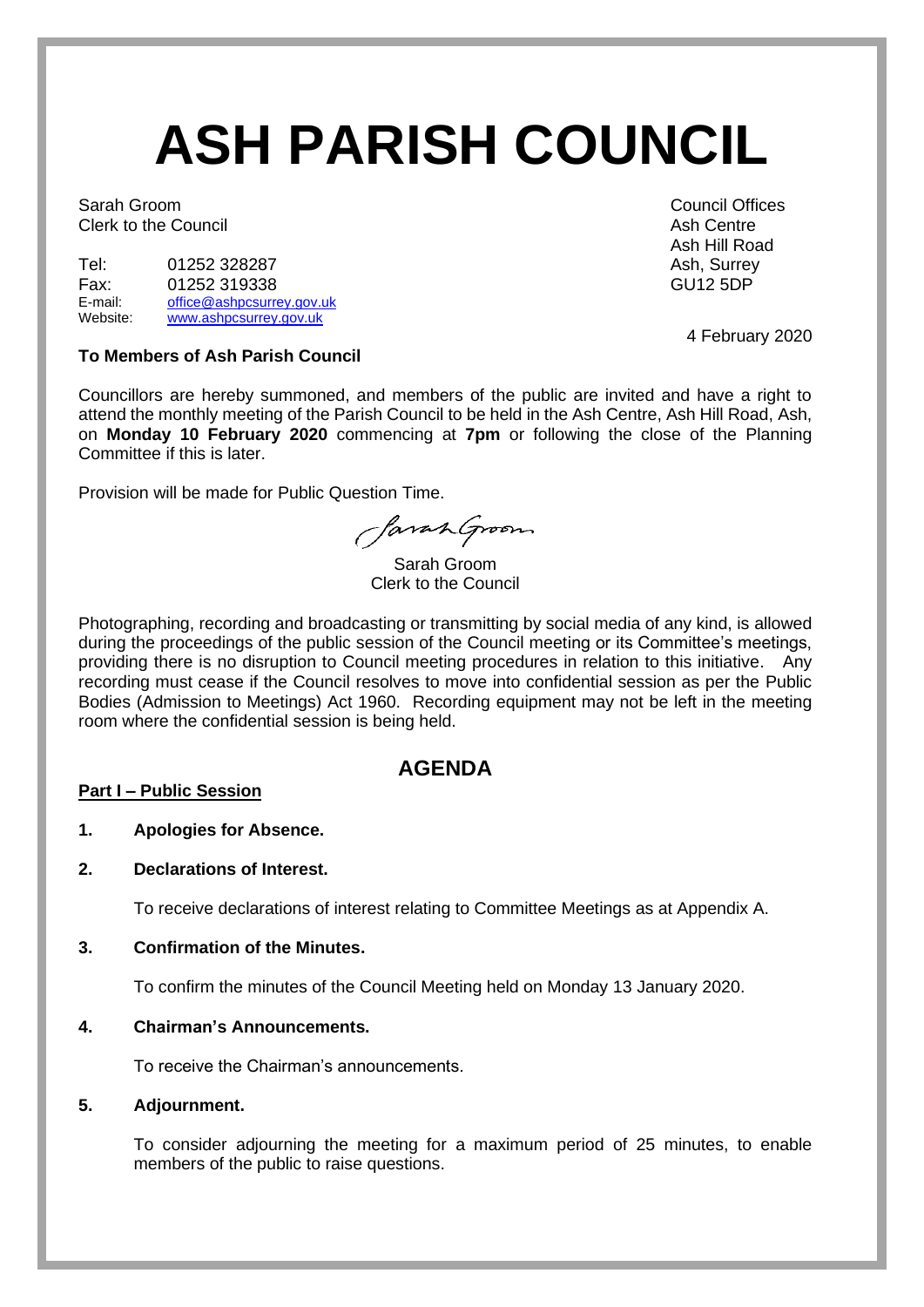# **ASH PARISH COUNCIL**

Sarah Groom Council Offices Clerk to the Council **Ash Centre** Ash Centre Ash Centre

| Tel:     | 01252 328287              | Ash, Surre      |
|----------|---------------------------|-----------------|
| Fax:     | 01252 319338              | <b>GU12 5DP</b> |
| E-mail:  | office@ashpcsurrey.gov.uk |                 |
| Website: | www.ashpcsurrey.gov.uk    |                 |

#### **To Members of Ash Parish Council**

Councillors are hereby summoned, and members of the public are invited and have a right to attend the monthly meeting of the Parish Council to be held in the Ash Centre, Ash Hill Road, Ash, on **Monday 10 February 2020** commencing at **7pm** or following the close of the Planning Committee if this is later.

Provision will be made for Public Question Time.

SavanGroom

Sarah Groom Clerk to the Council

Photographing, recording and broadcasting or transmitting by social media of any kind, is allowed during the proceedings of the public session of the Council meeting or its Committee's meetings, providing there is no disruption to Council meeting procedures in relation to this initiative. Any recording must cease if the Council resolves to move into confidential session as per the Public Bodies (Admission to Meetings) Act 1960. Recording equipment may not be left in the meeting room where the confidential session is being held.

## **AGENDA**

#### **Part I – Public Session**

#### **1. Apologies for Absence.**

#### **2. Declarations of Interest.**

To receive declarations of interest relating to Committee Meetings as at Appendix A.

#### **3. Confirmation of the Minutes.**

To confirm the minutes of the Council Meeting held on Monday 13 January 2020.

### **4. Chairman's Announcements.**

To receive the Chairman's announcements.

#### **5. Adjournment.**

To consider adjourning the meeting for a maximum period of 25 minutes, to enable members of the public to raise questions.

Ash Hill Road Ash, Surrey

4 February 2020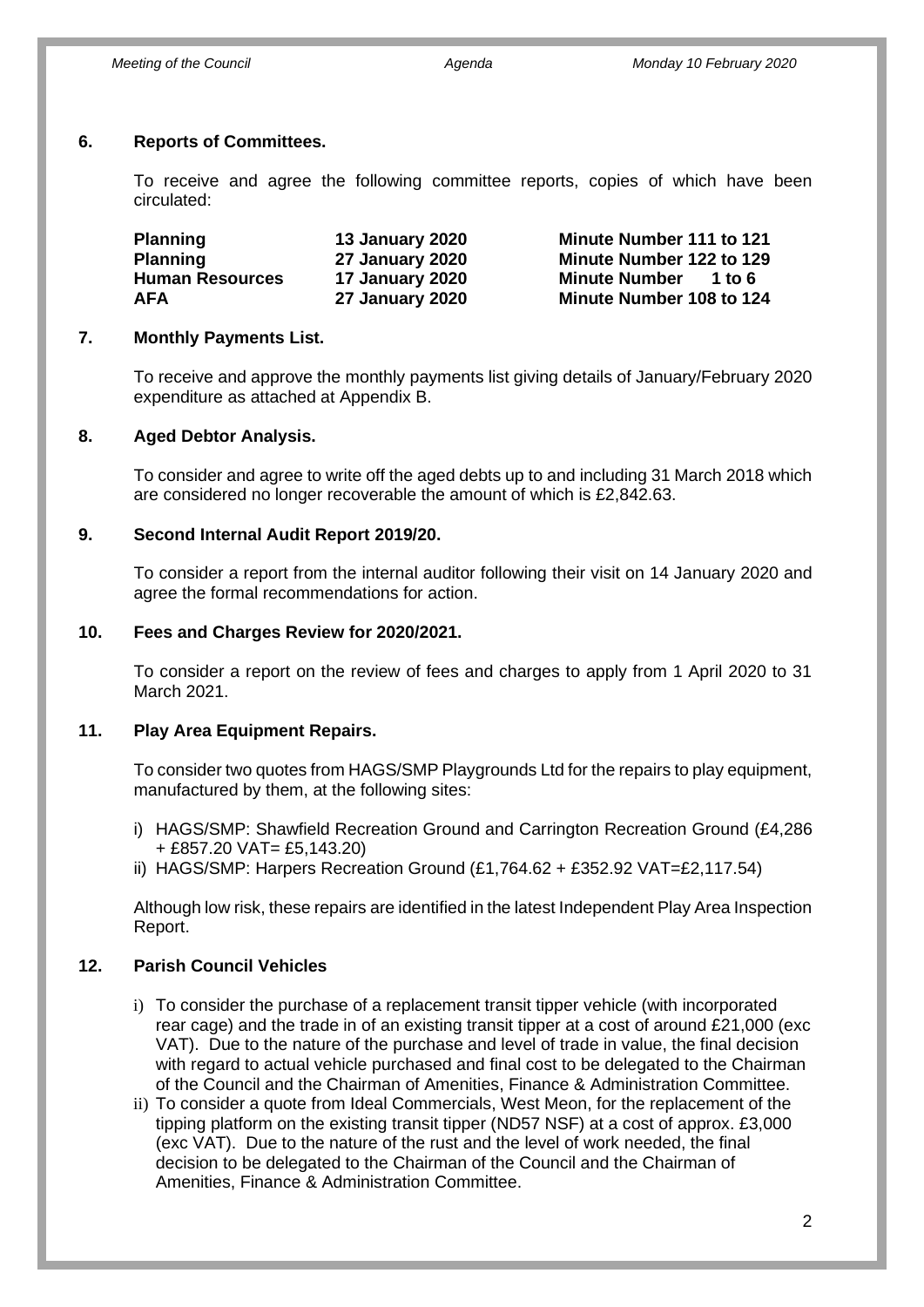## **6. Reports of Committees.**

To receive and agree the following committee reports, copies of which have been circulated:

| <b>Planning</b>        | <b>13 January 2020</b> | Minute Number 111 to 121       |
|------------------------|------------------------|--------------------------------|
| <b>Planning</b>        | <b>27 January 2020</b> | Minute Number 122 to 129       |
| <b>Human Resources</b> | 17 January 2020        | <b>Minute Number</b><br>1 to 6 |
| <b>AFA</b>             | <b>27 January 2020</b> | Minute Number 108 to 124       |

### **7. Monthly Payments List.**

To receive and approve the monthly payments list giving details of January/February 2020 expenditure as attached at Appendix B.

### **8. Aged Debtor Analysis.**

To consider and agree to write off the aged debts up to and including 31 March 2018 which are considered no longer recoverable the amount of which is £2,842.63.

### **9. Second Internal Audit Report 2019/20.**

To consider a report from the internal auditor following their visit on 14 January 2020 and agree the formal recommendations for action.

#### **10. Fees and Charges Review for 2020/2021.**

To consider a report on the review of fees and charges to apply from 1 April 2020 to 31 March 2021.

#### **11. Play Area Equipment Repairs.**

To consider two quotes from HAGS/SMP Playgrounds Ltd for the repairs to play equipment, manufactured by them, at the following sites:

- i) HAGS/SMP: Shawfield Recreation Ground and Carrington Recreation Ground (£4,286 + £857.20 VAT= £5,143.20)
- ii) HAGS/SMP: Harpers Recreation Ground  $(E1,764.62 + E352.92 \text{ VAT} = E2,117.54)$

Although low risk, these repairs are identified in the latest Independent Play Area Inspection Report.

## **12. Parish Council Vehicles**

- i) To consider the purchase of a replacement transit tipper vehicle (with incorporated rear cage) and the trade in of an existing transit tipper at a cost of around £21,000 (exc VAT). Due to the nature of the purchase and level of trade in value, the final decision with regard to actual vehicle purchased and final cost to be delegated to the Chairman of the Council and the Chairman of Amenities, Finance & Administration Committee.
- ii) To consider a quote from Ideal Commercials, West Meon, for the replacement of the tipping platform on the existing transit tipper (ND57 NSF) at a cost of approx. £3,000 (exc VAT). Due to the nature of the rust and the level of work needed, the final decision to be delegated to the Chairman of the Council and the Chairman of Amenities, Finance & Administration Committee.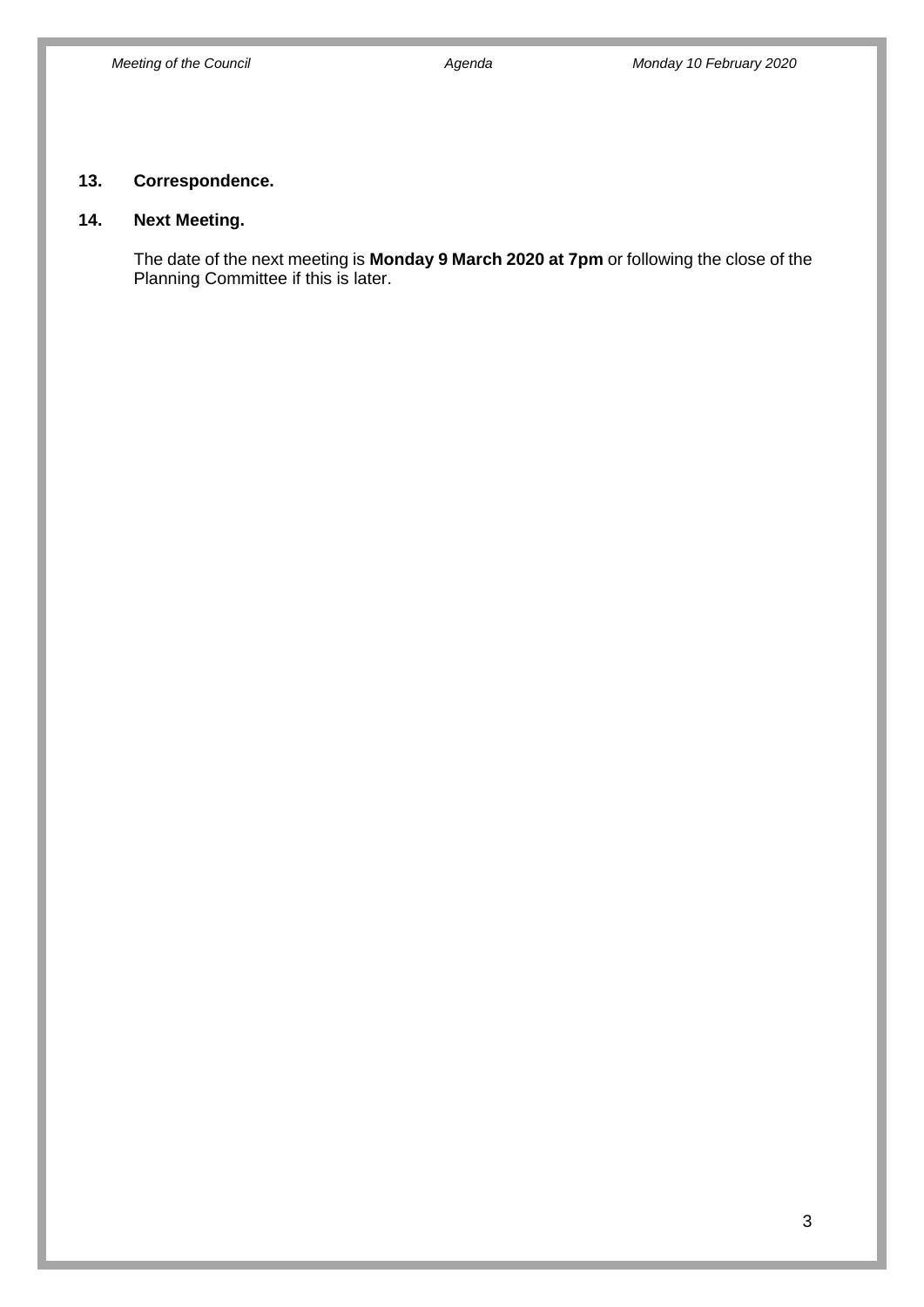## **13. Correspondence.**

## **14. Next Meeting.**

The date of the next meeting is **Monday 9 March 2020 at 7pm** or following the close of the Planning Committee if this is later.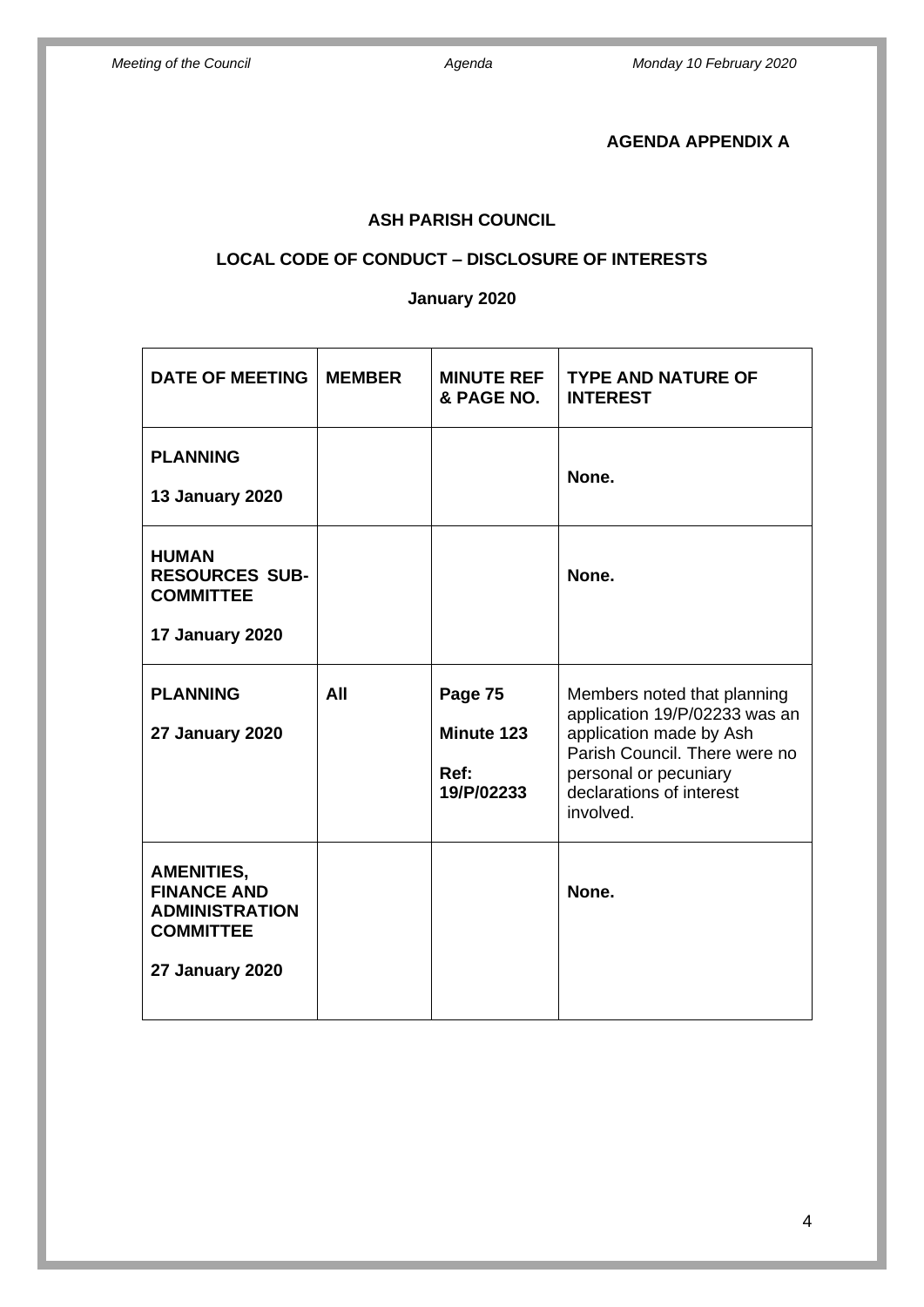## **AGENDA APPENDIX A**

# **ASH PARISH COUNCIL**

## **LOCAL CODE OF CONDUCT – DISCLOSURE OF INTERESTS**

## **January 2020**

| <b>DATE OF MEETING</b>                                                                                         | <b>MEMBER</b> | <b>MINUTE REF</b><br>& PAGE NO.             | <b>TYPE AND NATURE OF</b><br><b>INTEREST</b>                                                                                                                                               |
|----------------------------------------------------------------------------------------------------------------|---------------|---------------------------------------------|--------------------------------------------------------------------------------------------------------------------------------------------------------------------------------------------|
| <b>PLANNING</b><br><b>13 January 2020</b>                                                                      |               |                                             | None.                                                                                                                                                                                      |
| <b>HUMAN</b><br><b>RESOURCES SUB-</b><br><b>COMMITTEE</b><br>17 January 2020                                   |               |                                             | None.                                                                                                                                                                                      |
| <b>PLANNING</b><br><b>27 January 2020</b>                                                                      | All           | Page 75<br>Minute 123<br>Ref:<br>19/P/02233 | Members noted that planning<br>application 19/P/02233 was an<br>application made by Ash<br>Parish Council. There were no<br>personal or pecuniary<br>declarations of interest<br>involved. |
| <b>AMENITIES,</b><br><b>FINANCE AND</b><br><b>ADMINISTRATION</b><br><b>COMMITTEE</b><br><b>27 January 2020</b> |               |                                             | None.                                                                                                                                                                                      |